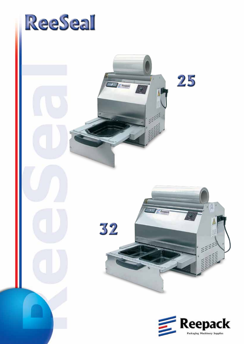